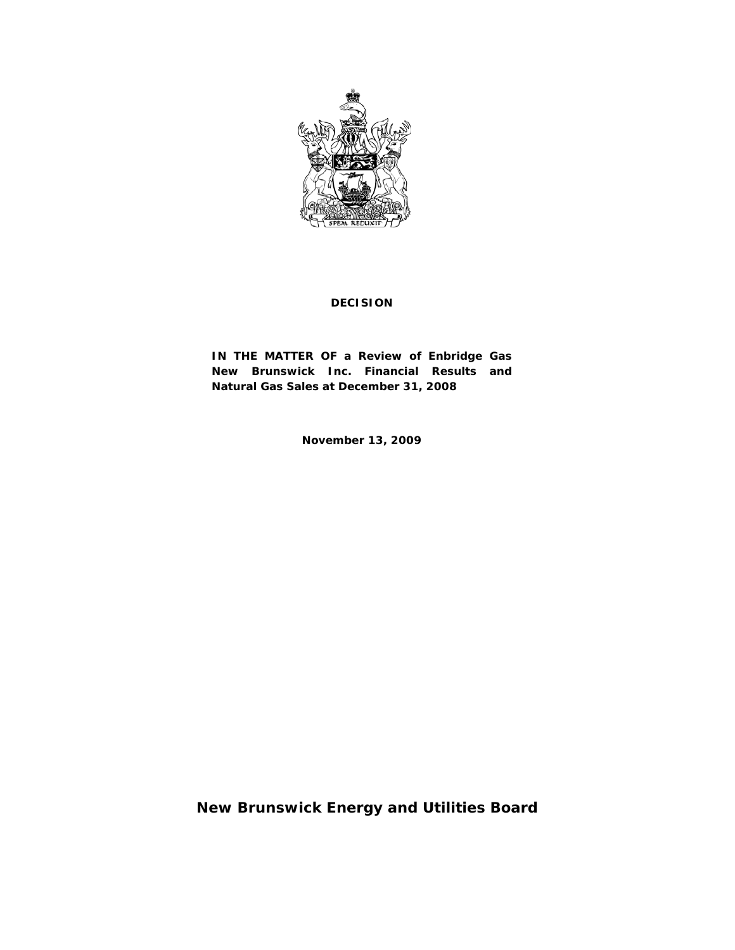

### **DECISION**

**IN THE MATTER OF a Review of Enbridge Gas New Brunswick Inc. Financial Results and Natural Gas Sales at December 31, 2008**

**November 13, 2009**

**New Brunswick Energy and Utilities Board**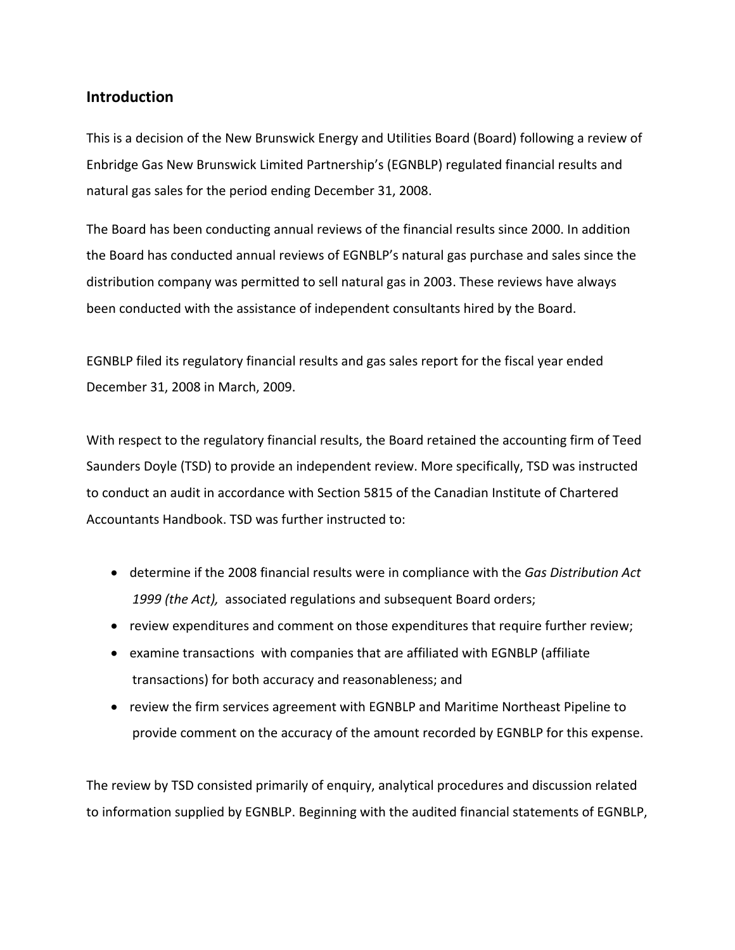## **Introduction**

This is a decision of the New Brunswick Energy and Utilities Board (Board) following a review of Enbridge Gas New Brunswick Limited Partnership's (EGNBLP) regulated financial results and natural gas sales for the period ending December 31, 2008.

The Board has been conducting annual reviews of the financial results since 2000. In addition the Board has conducted annual reviews of EGNBLP's natural gas purchase and sales since the distribution company was permitted to sell natural gas in 2003. These reviews have always been conducted with the assistance of independent consultants hired by the Board.

EGNBLP filed its regulatory financial results and gas sales report for the fiscal year ended December 31, 2008 in March, 2009.

With respect to the regulatory financial results, the Board retained the accounting firm of Teed Saunders Doyle (TSD) to provide an independent review. More specifically, TSD was instructed to conduct an audit in accordance with Section 5815 of the Canadian Institute of Chartered Accountants Handbook. TSD was further instructed to:

- determine if the 2008 financial results were in compliance with the *Gas Distribution Act 1999 (the Act),* associated regulations and subsequent Board orders;
- review expenditures and comment on those expenditures that require further review;
- examine transactions with companies that are affiliated with EGNBLP (affiliate transactions) for both accuracy and reasonableness; and
- review the firm services agreement with EGNBLP and Maritime Northeast Pipeline to provide comment on the accuracy of the amount recorded by EGNBLP for this expense.

The review by TSD consisted primarily of enquiry, analytical procedures and discussion related to information supplied by EGNBLP. Beginning with the audited financial statements of EGNBLP,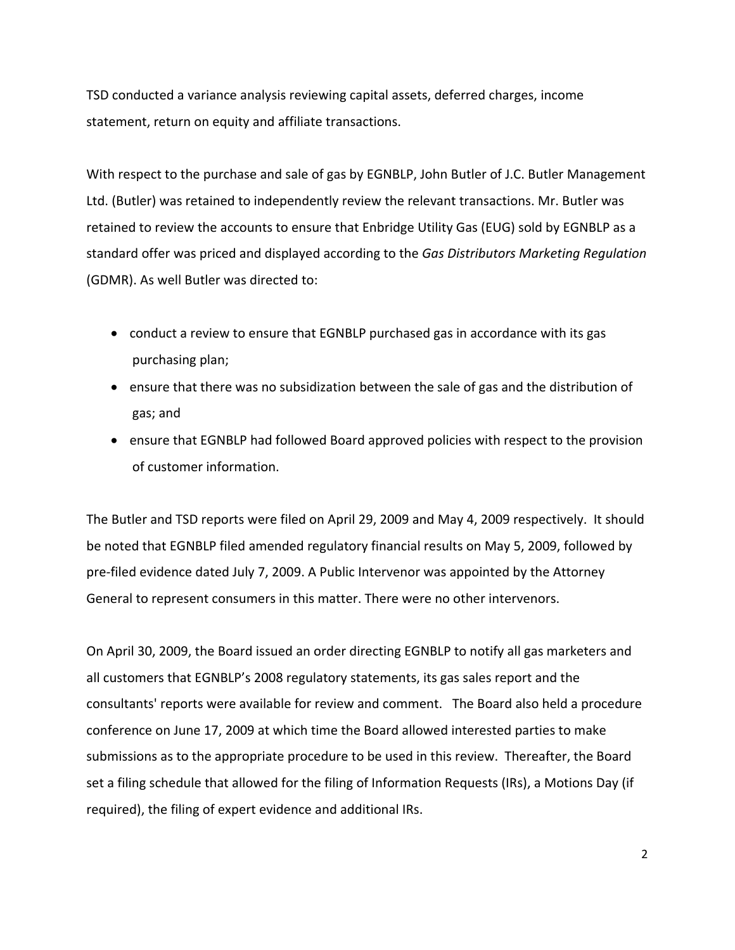TSD conducted a variance analysis reviewing capital assets, deferred charges, income statement, return on equity and affiliate transactions.

With respect to the purchase and sale of gas by EGNBLP, John Butler of J.C. Butler Management Ltd. (Butler) was retained to independently review the relevant transactions. Mr. Butler was retained to review the accounts to ensure that Enbridge Utility Gas (EUG) sold by EGNBLP as a standard offer was priced and displayed according to the *Gas Distributors Marketing Regulation* (GDMR). As well Butler was directed to:

- conduct a review to ensure that EGNBLP purchased gas in accordance with its gas purchasing plan;
- ensure that there was no subsidization between the sale of gas and the distribution of gas; and
- ensure that EGNBLP had followed Board approved policies with respect to the provision of customer information.

The Butler and TSD reports were filed on April 29, 2009 and May 4, 2009 respectively. It should be noted that EGNBLP filed amended regulatory financial results on May 5, 2009, followed by pre-filed evidence dated July 7, 2009. A Public Intervenor was appointed by the Attorney General to represent consumers in this matter. There were no other intervenors.

On April 30, 2009, the Board issued an order directing EGNBLP to notify all gas marketers and all customers that EGNBLP's 2008 regulatory statements, its gas sales report and the consultants' reports were available for review and comment. The Board also held a procedure conference on June 17, 2009 at which time the Board allowed interested parties to make submissions as to the appropriate procedure to be used in this review. Thereafter, the Board set a filing schedule that allowed for the filing of Information Requests (IRs), a Motions Day (if required), the filing of expert evidence and additional IRs.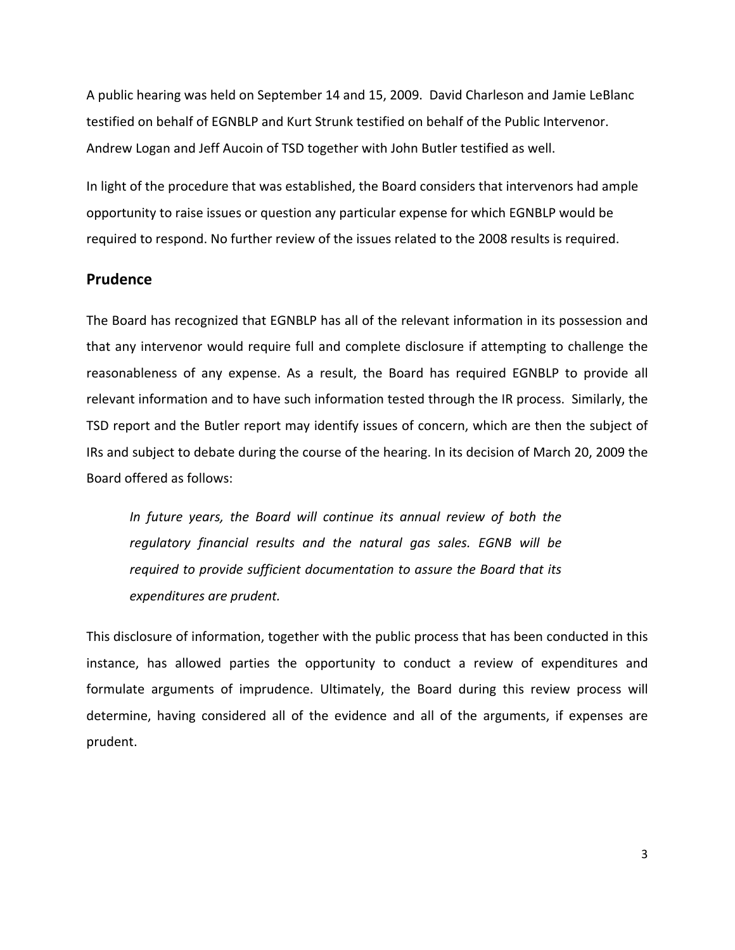A public hearing was held on September 14 and 15, 2009. David Charleson and Jamie LeBlanc testified on behalf of EGNBLP and Kurt Strunk testified on behalf of the Public Intervenor. Andrew Logan and Jeff Aucoin of TSD together with John Butler testified as well.

In light of the procedure that was established, the Board considers that intervenors had ample opportunity to raise issues or question any particular expense for which EGNBLP would be required to respond. No further review of the issues related to the 2008 results is required.

## **Prudence**

The Board has recognized that EGNBLP has all of the relevant information in its possession and that any intervenor would require full and complete disclosure if attempting to challenge the reasonableness of any expense. As a result, the Board has required EGNBLP to provide all relevant information and to have such information tested through the IR process. Similarly, the TSD report and the Butler report may identify issues of concern, which are then the subject of IRs and subject to debate during the course of the hearing. In its decision of March 20, 2009 the Board offered as follows:

*In future years, the Board will continue its annual review of both the regulatory financial results and the natural gas sales. EGNB will be required to provide sufficient documentation to assure the Board that its expenditures are prudent.*

This disclosure of information, together with the public process that has been conducted in this instance, has allowed parties the opportunity to conduct a review of expenditures and formulate arguments of imprudence. Ultimately, the Board during this review process will determine, having considered all of the evidence and all of the arguments, if expenses are prudent.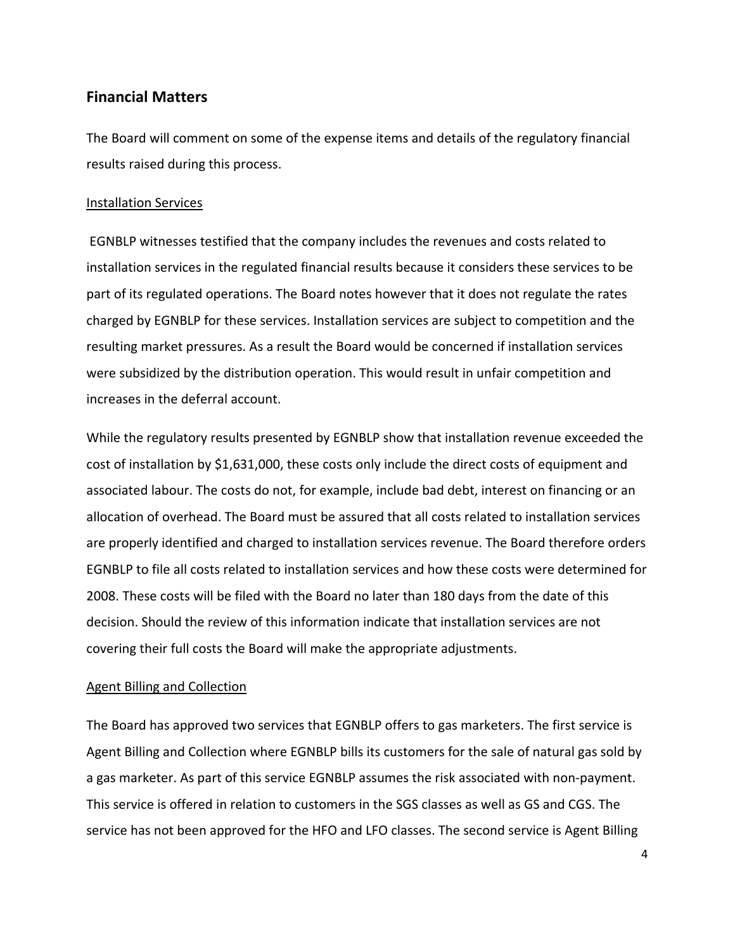## **Financial Matters**

The Board will comment on some of the expense items and details of the regulatory financial results raised during this process.

### Installation Services

EGNBLP witnesses testified that the company includes the revenues and costs related to installation services in the regulated financial results because it considers these services to be part of its regulated operations. The Board notes however that it does not regulate the rates charged by EGNBLP for these services. Installation services are subject to competition and the resulting market pressures. As a result the Board would be concerned if installation services were subsidized by the distribution operation. This would result in unfair competition and increases in the deferral account.

While the regulatory results presented by EGNBLP show that installation revenue exceeded the cost of installation by \$1,631,000, these costs only include the direct costs of equipment and associated labour. The costs do not, for example, include bad debt, interest on financing or an allocation of overhead. The Board must be assured that all costs related to installation services are properly identified and charged to installation services revenue. The Board therefore orders EGNBLP to file all costs related to installation services and how these costs were determined for 2008. These costs will be filed with the Board no later than 180 days from the date of this decision. Should the review of this information indicate that installation services are not covering their full costs the Board will make the appropriate adjustments.

### Agent Billing and Collection

The Board has approved two services that EGNBLP offers to gas marketers. The first service is Agent Billing and Collection where EGNBLP bills its customers for the sale of natural gas sold by a gas marketer. As part of this service EGNBLP assumes the risk associated with non-payment. This service is offered in relation to customers in the SGS classes as well as GS and CGS. The service has not been approved for the HFO and LFO classes. The second service is Agent Billing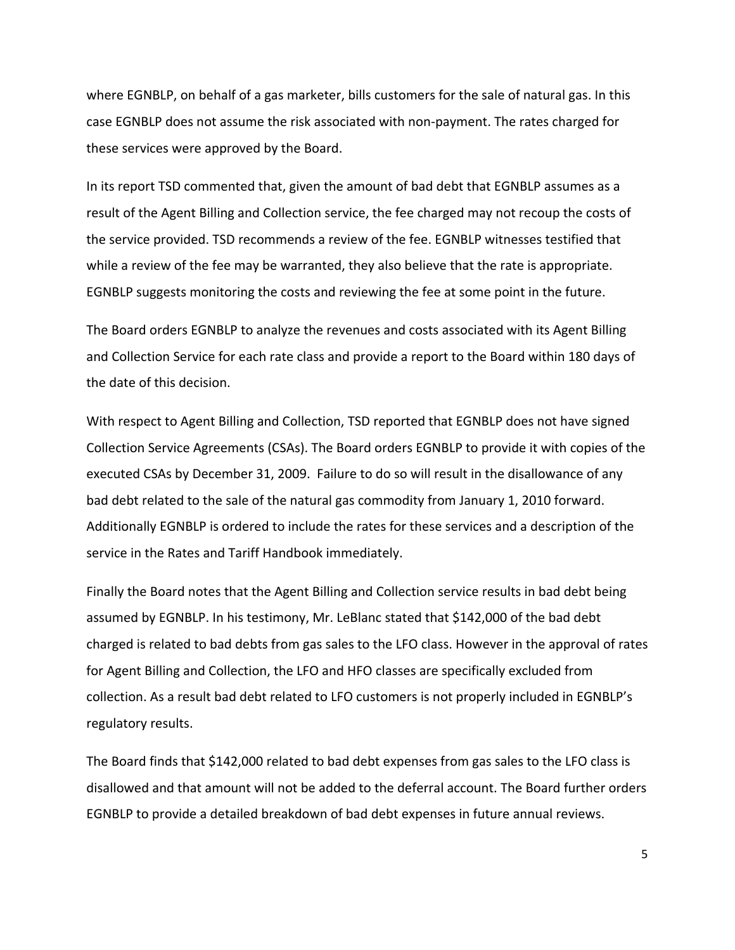where EGNBLP, on behalf of a gas marketer, bills customers for the sale of natural gas. In this case EGNBLP does not assume the risk associated with non-payment. The rates charged for these services were approved by the Board.

In its report TSD commented that, given the amount of bad debt that EGNBLP assumes as a result of the Agent Billing and Collection service, the fee charged may not recoup the costs of the service provided. TSD recommends a review of the fee. EGNBLP witnesses testified that while a review of the fee may be warranted, they also believe that the rate is appropriate. EGNBLP suggests monitoring the costs and reviewing the fee at some point in the future.

The Board orders EGNBLP to analyze the revenues and costs associated with its Agent Billing and Collection Service for each rate class and provide a report to the Board within 180 days of the date of this decision.

With respect to Agent Billing and Collection, TSD reported that EGNBLP does not have signed Collection Service Agreements (CSAs). The Board orders EGNBLP to provide it with copies of the executed CSAs by December 31, 2009. Failure to do so will result in the disallowance of any bad debt related to the sale of the natural gas commodity from January 1, 2010 forward. Additionally EGNBLP is ordered to include the rates for these services and a description of the service in the Rates and Tariff Handbook immediately.

Finally the Board notes that the Agent Billing and Collection service results in bad debt being assumed by EGNBLP. In his testimony, Mr. LeBlanc stated that \$142,000 of the bad debt charged is related to bad debts from gas sales to the LFO class. However in the approval of rates for Agent Billing and Collection, the LFO and HFO classes are specifically excluded from collection. As a result bad debt related to LFO customers is not properly included in EGNBLP's regulatory results.

The Board finds that \$142,000 related to bad debt expenses from gas sales to the LFO class is disallowed and that amount will not be added to the deferral account. The Board further orders EGNBLP to provide a detailed breakdown of bad debt expenses in future annual reviews.

5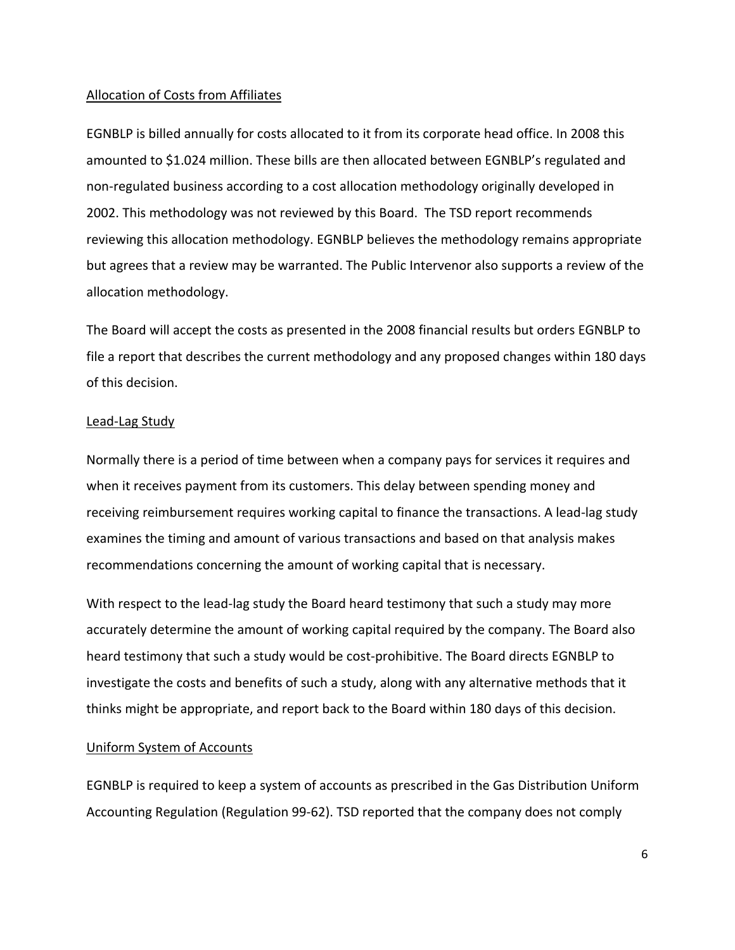### Allocation of Costs from Affiliates

EGNBLP is billed annually for costs allocated to it from its corporate head office. In 2008 this amounted to \$1.024 million. These bills are then allocated between EGNBLP's regulated and non-regulated business according to a cost allocation methodology originally developed in 2002. This methodology was not reviewed by this Board. The TSD report recommends reviewing this allocation methodology. EGNBLP believes the methodology remains appropriate but agrees that a review may be warranted. The Public Intervenor also supports a review of the allocation methodology.

The Board will accept the costs as presented in the 2008 financial results but orders EGNBLP to file a report that describes the current methodology and any proposed changes within 180 days of this decision.

#### Lead-Lag Study

Normally there is a period of time between when a company pays for services it requires and when it receives payment from its customers. This delay between spending money and receiving reimbursement requires working capital to finance the transactions. A lead-lag study examines the timing and amount of various transactions and based on that analysis makes recommendations concerning the amount of working capital that is necessary.

With respect to the lead-lag study the Board heard testimony that such a study may more accurately determine the amount of working capital required by the company. The Board also heard testimony that such a study would be cost-prohibitive. The Board directs EGNBLP to investigate the costs and benefits of such a study, along with any alternative methods that it thinks might be appropriate, and report back to the Board within 180 days of this decision.

### Uniform System of Accounts

EGNBLP is required to keep a system of accounts as prescribed in the Gas Distribution Uniform Accounting Regulation (Regulation 99-62). TSD reported that the company does not comply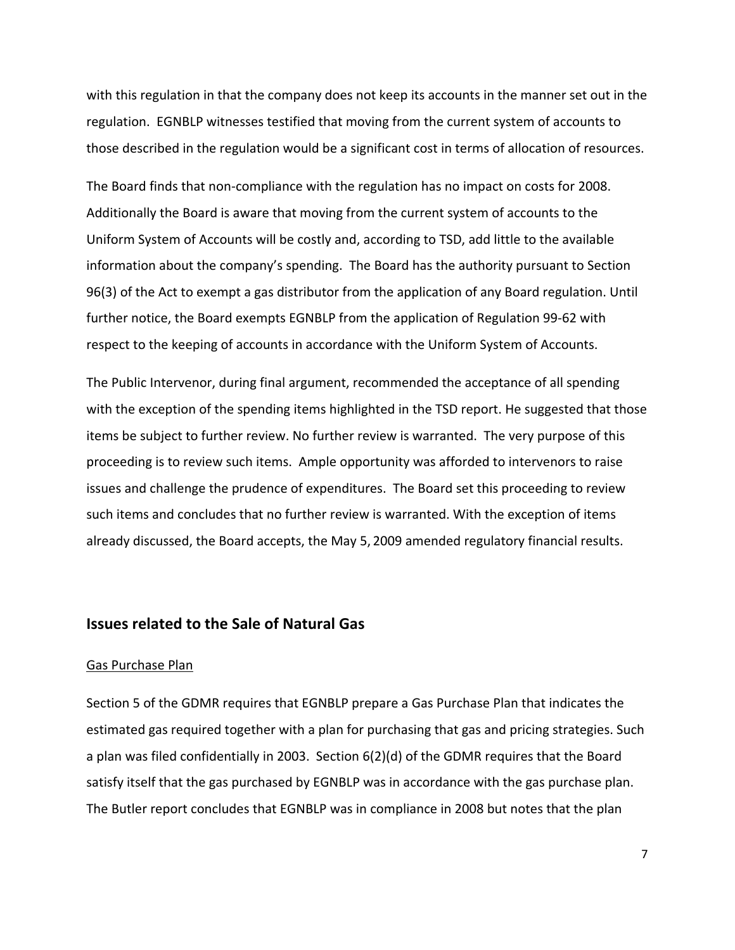with this regulation in that the company does not keep its accounts in the manner set out in the regulation. EGNBLP witnesses testified that moving from the current system of accounts to those described in the regulation would be a significant cost in terms of allocation of resources.

The Board finds that non-compliance with the regulation has no impact on costs for 2008. Additionally the Board is aware that moving from the current system of accounts to the Uniform System of Accounts will be costly and, according to TSD, add little to the available information about the company's spending. The Board has the authority pursuant to Section 96(3) of the Act to exempt a gas distributor from the application of any Board regulation. Until further notice, the Board exempts EGNBLP from the application of Regulation 99-62 with respect to the keeping of accounts in accordance with the Uniform System of Accounts.

The Public Intervenor, during final argument, recommended the acceptance of all spending with the exception of the spending items highlighted in the TSD report. He suggested that those items be subject to further review. No further review is warranted. The very purpose of this proceeding is to review such items. Ample opportunity was afforded to intervenors to raise issues and challenge the prudence of expenditures. The Board set this proceeding to review such items and concludes that no further review is warranted. With the exception of items already discussed, the Board accepts, the May 5, 2009 amended regulatory financial results.

### **Issues related to the Sale of Natural Gas**

#### Gas Purchase Plan

Section 5 of the GDMR requires that EGNBLP prepare a Gas Purchase Plan that indicates the estimated gas required together with a plan for purchasing that gas and pricing strategies. Such a plan was filed confidentially in 2003. Section 6(2)(d) of the GDMR requires that the Board satisfy itself that the gas purchased by EGNBLP was in accordance with the gas purchase plan. The Butler report concludes that EGNBLP was in compliance in 2008 but notes that the plan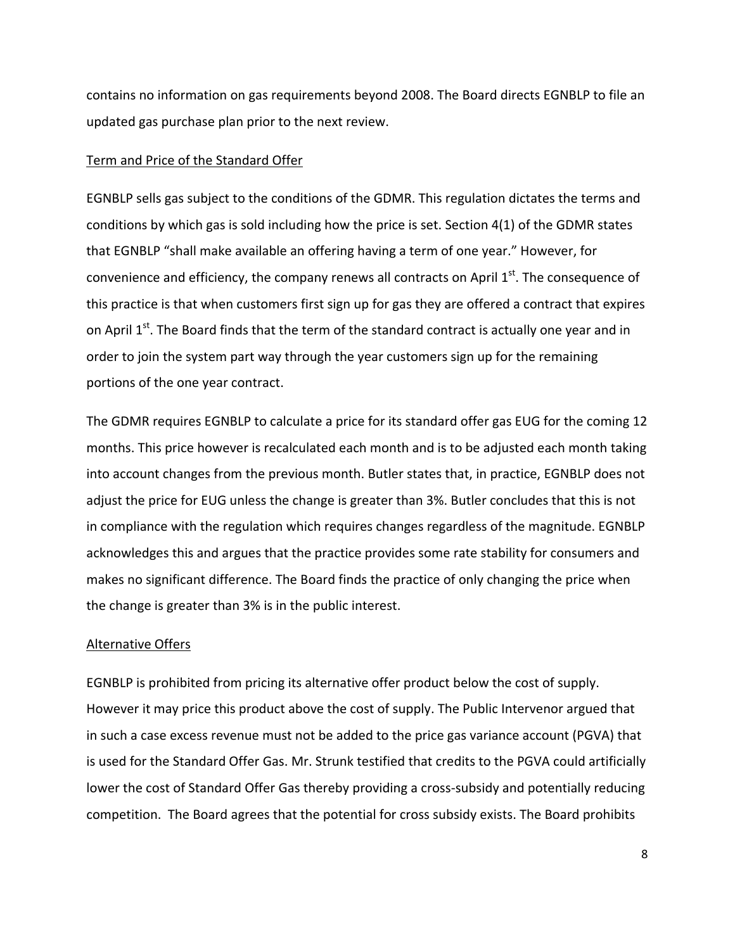contains no information on gas requirements beyond 2008. The Board directs EGNBLP to file an updated gas purchase plan prior to the next review.

### Term and Price of the Standard Offer

EGNBLP sells gas subject to the conditions of the GDMR. This regulation dictates the terms and conditions by which gas is sold including how the price is set. Section 4(1) of the GDMR states that EGNBLP "shall make available an offering having a term of one year." However, for convenience and efficiency, the company renews all contracts on April 1<sup>st</sup>. The consequence of this practice is that when customers first sign up for gas they are offered a contract that expires on April 1<sup>st</sup>. The Board finds that the term of the standard contract is actually one year and in order to join the system part way through the year customers sign up for the remaining portions of the one year contract.

The GDMR requires EGNBLP to calculate a price for its standard offer gas EUG for the coming 12 months. This price however is recalculated each month and is to be adjusted each month taking into account changes from the previous month. Butler states that, in practice, EGNBLP does not adjust the price for EUG unless the change is greater than 3%. Butler concludes that this is not in compliance with the regulation which requires changes regardless of the magnitude. EGNBLP acknowledges this and argues that the practice provides some rate stability for consumers and makes no significant difference. The Board finds the practice of only changing the price when the change is greater than 3% is in the public interest.

### Alternative Offers

EGNBLP is prohibited from pricing its alternative offer product below the cost of supply. However it may price this product above the cost of supply. The Public Intervenor argued that in such a case excess revenue must not be added to the price gas variance account (PGVA) that is used for the Standard Offer Gas. Mr. Strunk testified that credits to the PGVA could artificially lower the cost of Standard Offer Gas thereby providing a cross-subsidy and potentially reducing competition. The Board agrees that the potential for cross subsidy exists. The Board prohibits

8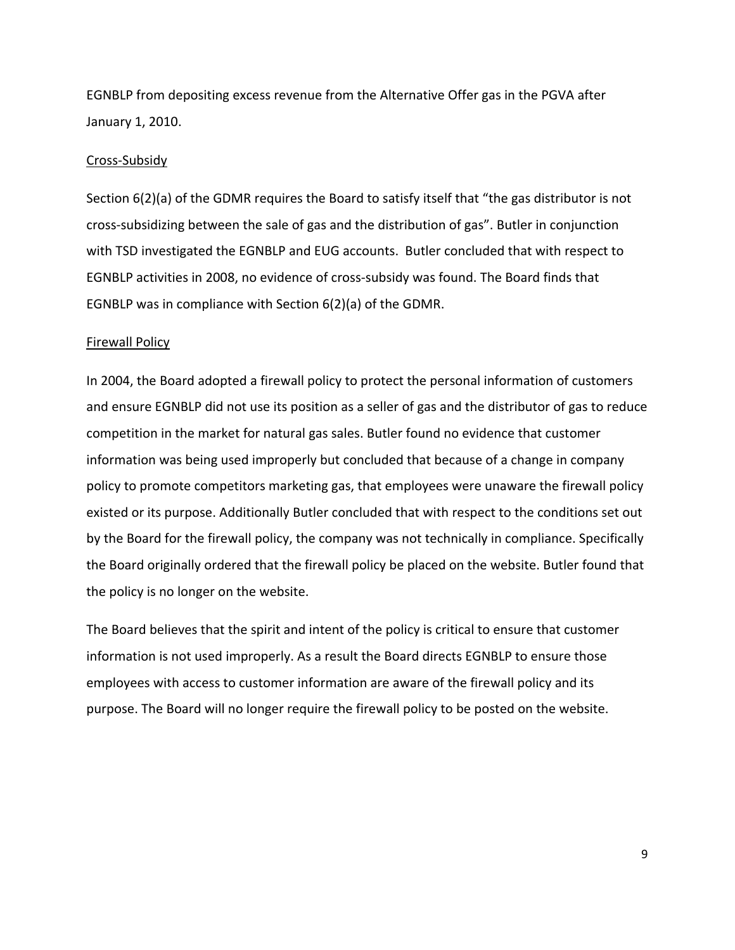EGNBLP from depositing excess revenue from the Alternative Offer gas in the PGVA after January 1, 2010.

#### Cross-Subsidy

Section 6(2)(a) of the GDMR requires the Board to satisfy itself that "the gas distributor is not cross-subsidizing between the sale of gas and the distribution of gas". Butler in conjunction with TSD investigated the EGNBLP and EUG accounts. Butler concluded that with respect to EGNBLP activities in 2008, no evidence of cross-subsidy was found. The Board finds that EGNBLP was in compliance with Section 6(2)(a) of the GDMR.

### Firewall Policy

In 2004, the Board adopted a firewall policy to protect the personal information of customers and ensure EGNBLP did not use its position as a seller of gas and the distributor of gas to reduce competition in the market for natural gas sales. Butler found no evidence that customer information was being used improperly but concluded that because of a change in company policy to promote competitors marketing gas, that employees were unaware the firewall policy existed or its purpose. Additionally Butler concluded that with respect to the conditions set out by the Board for the firewall policy, the company was not technically in compliance. Specifically the Board originally ordered that the firewall policy be placed on the website. Butler found that the policy is no longer on the website.

The Board believes that the spirit and intent of the policy is critical to ensure that customer information is not used improperly. As a result the Board directs EGNBLP to ensure those employees with access to customer information are aware of the firewall policy and its purpose. The Board will no longer require the firewall policy to be posted on the website.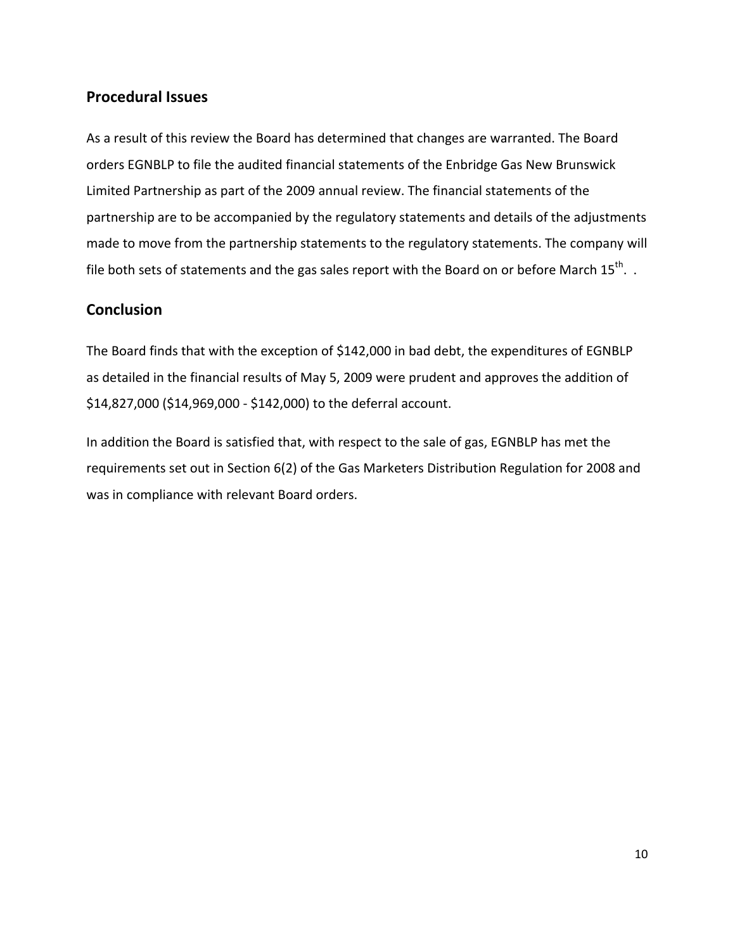# **Procedural Issues**

As a result of this review the Board has determined that changes are warranted. The Board orders EGNBLP to file the audited financial statements of the Enbridge Gas New Brunswick Limited Partnership as part of the 2009 annual review. The financial statements of the partnership are to be accompanied by the regulatory statements and details of the adjustments made to move from the partnership statements to the regulatory statements. The company will file both sets of statements and the gas sales report with the Board on or before March  $15^{th}$ . .

# **Conclusion**

The Board finds that with the exception of \$142,000 in bad debt, the expenditures of EGNBLP as detailed in the financial results of May 5, 2009 were prudent and approves the addition of \$14,827,000 (\$14,969,000 - \$142,000) to the deferral account.

In addition the Board is satisfied that, with respect to the sale of gas, EGNBLP has met the requirements set out in Section 6(2) of the Gas Marketers Distribution Regulation for 2008 and was in compliance with relevant Board orders.